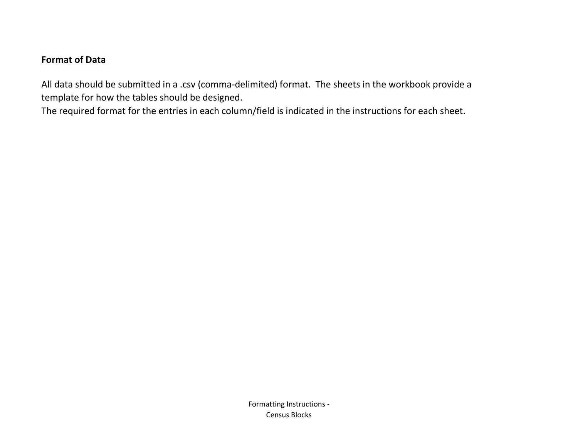## **Format of Data**

All data should be submitted in a .csv (comma-delimited) format. The sheets in the workbook provide a template for how the tables should be designed.

The required format for the entries in each column/field is indicated in the instructions for each sheet.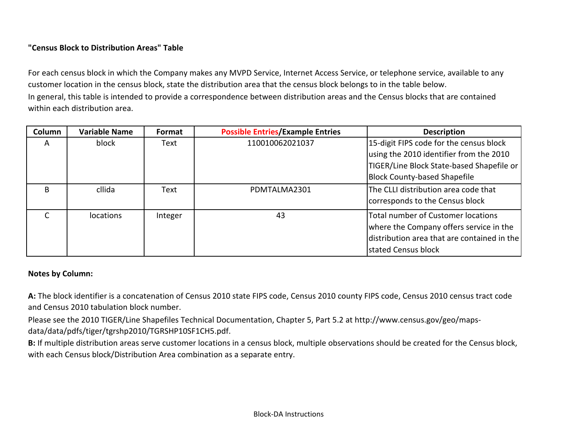## **"Census Block to Distribution Areas" Table**

For each census block in which the Company makes any MVPD Service, Internet Access Service, or telephone service, available to any customer location in the census block, state the distribution area that the census block belongs to in the table below. In general, this table is intended to provide a correspondence between distribution areas and the Census blocks that are contained within each distribution area.

| Column | <b>Variable Name</b> | Format  | <b>Possible Entries/Example Entries</b> | <b>Description</b>                          |
|--------|----------------------|---------|-----------------------------------------|---------------------------------------------|
| A      | block                | Text    | 110010062021037                         | 15-digit FIPS code for the census block     |
|        |                      |         |                                         | using the 2010 identifier from the 2010     |
|        |                      |         |                                         | TIGER/Line Block State-based Shapefile or   |
|        |                      |         |                                         | <b>Block County-based Shapefile</b>         |
| B      | cllida               | Text    | PDMTALMA2301                            | The CLLI distribution area code that        |
|        |                      |         |                                         | corresponds to the Census block             |
|        | <i>locations</i>     | Integer | 43                                      | Total number of Customer locations          |
|        |                      |         |                                         | where the Company offers service in the     |
|        |                      |         |                                         | distribution area that are contained in the |
|        |                      |         |                                         | stated Census block                         |

## **Notes by Column:**

**A:** The block identifier is a concatenation of Census 2010 state FIPS code, Census 2010 county FIPS code, Census 2010 census tract code and Census 2010 tabulation block number.

Please see the 2010 TIGER/Line Shapefiles Technical Documentation, Chapter 5, Part 5.2 at http://www.census.gov/geo/mapsdata/data/pdfs/tiger/tgrshp2010/TGRSHP10SF1CH5.pdf.

**B:** If multiple distribution areas serve customer locations in a census block, multiple observations should be created for the Census block, with each Census block/Distribution Area combination as a separate entry.